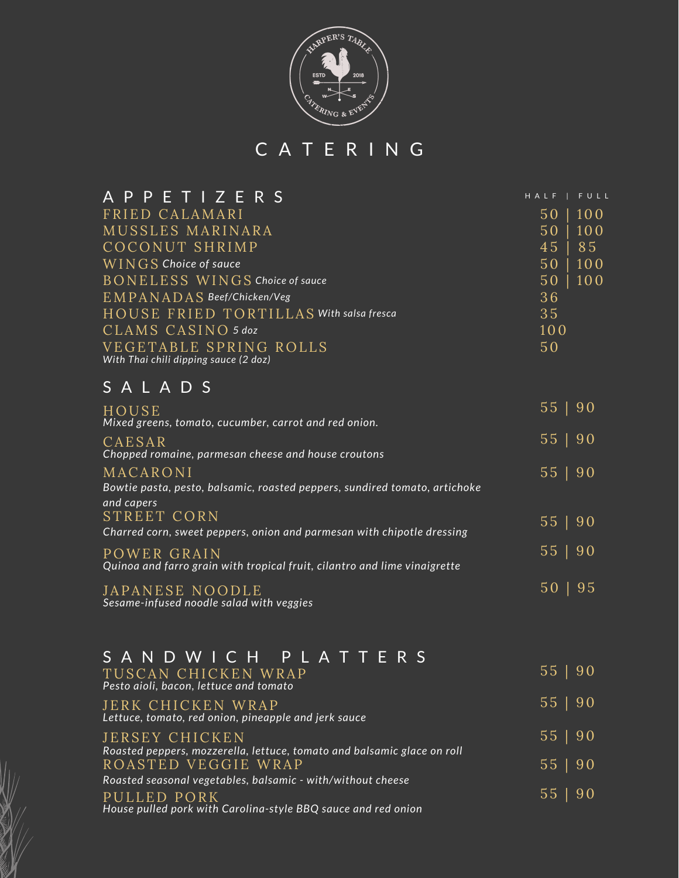

C A T E R I N G

| <b>APPETIZERS</b>                                               | HALF | FULL |
|-----------------------------------------------------------------|------|------|
| FRIED CALAMARI                                                  | 50   | 100  |
| MUSSLES MARINARA                                                | 50   | 100  |
| COCONUT SHRIMP                                                  | 45   | 85   |
| WINGS Choice of sauce                                           | 50   | 100  |
| BONELESS WINGS Choice of sauce                                  | 50   | 100  |
| EMPANADAS Beef/Chicken/Veg                                      | 36   |      |
| HOUSE FRIED TORTILLAS With salsa fresca                         | 35   |      |
| CLAMS CASINO 5 doz                                              | 100  |      |
| VEGETABLE SPRING ROLLS<br>With Thai chili dipping sauce (2 doz) | 50   |      |

## S A L A D S

| HOUSE<br>Mixed greens, tomato, cucumber, carrot and red onion.                                       | 55   90      |  |
|------------------------------------------------------------------------------------------------------|--------------|--|
| CAESAR<br>Chopped romaine, parmesan cheese and house croutons                                        | 55   90      |  |
| MACARONI<br>Bowtie pasta, pesto, balsamic, roasted peppers, sundired tomato, artichoke<br>and capers | 55   90      |  |
| STREET CORN<br>Charred corn, sweet peppers, onion and parmesan with chipotle dressing                | 55   90      |  |
| POWER GRAIN<br>Quinoa and farro grain with tropical fruit, cilantro and lime vinaigrette             | 55   90      |  |
| JAPANESE NOODLE<br>Sesame-infused noodle salad with veggies                                          | $50 \mid 95$ |  |

| SANDWICH PLATTERS                                                                         |         |
|-------------------------------------------------------------------------------------------|---------|
| TUSCAN CHICKEN WRAP<br>Pesto aioli, bacon, lettuce and tomato                             | 55   90 |
| <b>JERK CHICKEN WRAP</b><br>Lettuce, tomato, red onion, pineapple and jerk sauce          | 55   90 |
| JERSEY CHICKEN<br>Roasted peppers, mozzerella, lettuce, tomato and balsamic glace on roll | 55   90 |
| ROASTED VEGGIE WRAP                                                                       | 55   90 |
| Roasted seasonal vegetables, balsamic - with/without cheese                               | 55   90 |
| PULLED PORK<br>House pulled pork with Carolina-style BBQ sauce and red onion              |         |